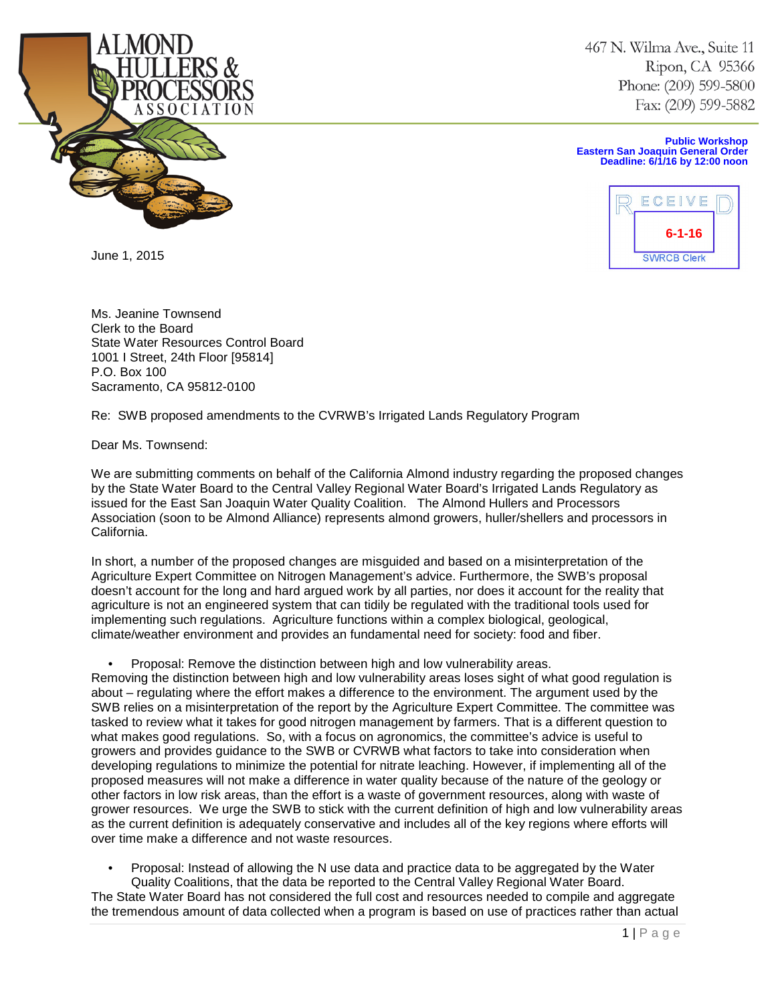

June 1, 2015

467 N. Wilma Ave., Suite 11 Ripon, CA 95366 Phone: (209) 599-5800 Fax: (209) 599-5882

**Public Workshop Eastern San Joaquin General Order Deadline: 6/1/16 by 12:00 noon**



Ms. Jeanine Townsend Clerk to the Board State Water Resources Control Board 1001 I Street, 24th Floor [95814] P.O. Box 100 Sacramento, CA 95812-0100

Re: SWB proposed amendments to the CVRWB's Irrigated Lands Regulatory Program

Dear Ms. Townsend:

We are submitting comments on behalf of the California Almond industry regarding the proposed changes by the State Water Board to the Central Valley Regional Water Board's Irrigated Lands Regulatory as issued for the East San Joaquin Water Quality Coalition. The Almond Hullers and Processors Association (soon to be Almond Alliance) represents almond growers, huller/shellers and processors in California.

In short, a number of the proposed changes are misguided and based on a misinterpretation of the Agriculture Expert Committee on Nitrogen Management's advice. Furthermore, the SWB's proposal doesn't account for the long and hard argued work by all parties, nor does it account for the reality that agriculture is not an engineered system that can tidily be regulated with the traditional tools used for implementing such regulations. Agriculture functions within a complex biological, geological, climate/weather environment and provides an fundamental need for society: food and fiber.

• Proposal: Remove the distinction between high and low vulnerability areas.

Removing the distinction between high and low vulnerability areas loses sight of what good regulation is about – regulating where the effort makes a difference to the environment. The argument used by the SWB relies on a misinterpretation of the report by the Agriculture Expert Committee. The committee was tasked to review what it takes for good nitrogen management by farmers. That is a different question to what makes good regulations. So, with a focus on agronomics, the committee's advice is useful to growers and provides guidance to the SWB or CVRWB what factors to take into consideration when developing regulations to minimize the potential for nitrate leaching. However, if implementing all of the proposed measures will not make a difference in water quality because of the nature of the geology or other factors in low risk areas, than the effort is a waste of government resources, along with waste of grower resources. We urge the SWB to stick with the current definition of high and low vulnerability areas as the current definition is adequately conservative and includes all of the key regions where efforts will over time make a difference and not waste resources.

• Proposal: Instead of allowing the N use data and practice data to be aggregated by the Water Quality Coalitions, that the data be reported to the Central Valley Regional Water Board.

The State Water Board has not considered the full cost and resources needed to compile and aggregate the tremendous amount of data collected when a program is based on use of practices rather than actual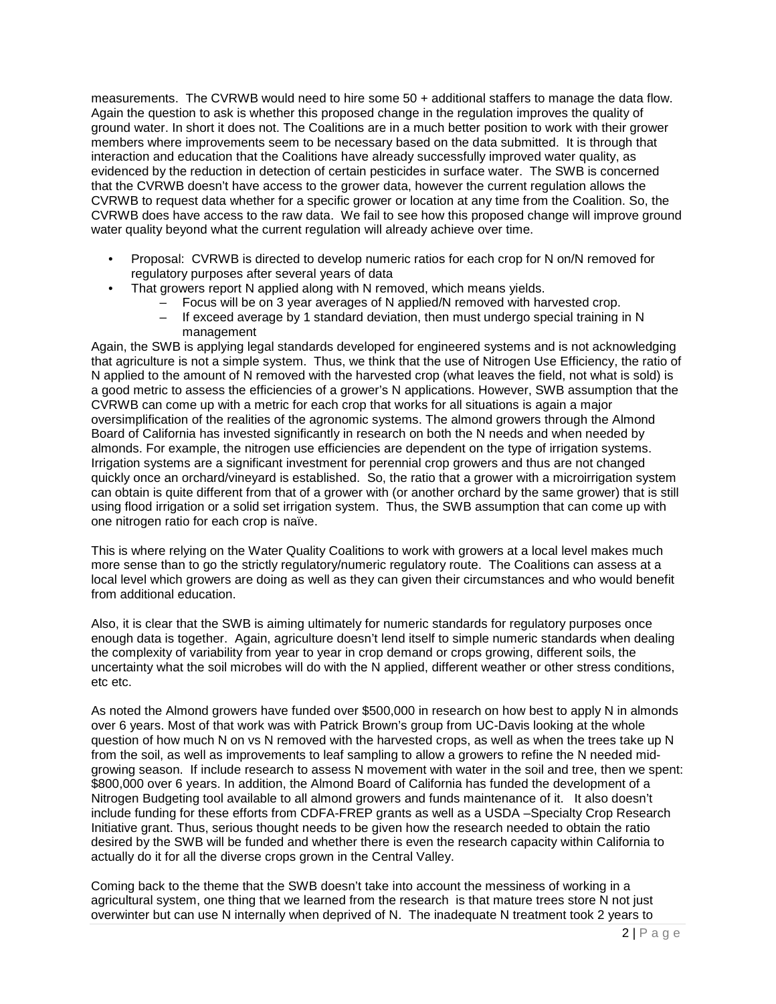measurements. The CVRWB would need to hire some 50 + additional staffers to manage the data flow. Again the question to ask is whether this proposed change in the regulation improves the quality of ground water. In short it does not. The Coalitions are in a much better position to work with their grower members where improvements seem to be necessary based on the data submitted. It is through that interaction and education that the Coalitions have already successfully improved water quality, as evidenced by the reduction in detection of certain pesticides in surface water. The SWB is concerned that the CVRWB doesn't have access to the grower data, however the current regulation allows the CVRWB to request data whether for a specific grower or location at any time from the Coalition. So, the CVRWB does have access to the raw data. We fail to see how this proposed change will improve ground water quality beyond what the current regulation will already achieve over time.

- Proposal: CVRWB is directed to develop numeric ratios for each crop for N on/N removed for regulatory purposes after several years of data
- That growers report N applied along with N removed, which means yields.
	- Focus will be on 3 year averages of N applied/N removed with harvested crop.
	- If exceed average by 1 standard deviation, then must undergo special training in N management

Again, the SWB is applying legal standards developed for engineered systems and is not acknowledging that agriculture is not a simple system. Thus, we think that the use of Nitrogen Use Efficiency, the ratio of N applied to the amount of N removed with the harvested crop (what leaves the field, not what is sold) is a good metric to assess the efficiencies of a grower's N applications. However, SWB assumption that the CVRWB can come up with a metric for each crop that works for all situations is again a major oversimplification of the realities of the agronomic systems. The almond growers through the Almond Board of California has invested significantly in research on both the N needs and when needed by almonds. For example, the nitrogen use efficiencies are dependent on the type of irrigation systems. Irrigation systems are a significant investment for perennial crop growers and thus are not changed quickly once an orchard/vineyard is established. So, the ratio that a grower with a microirrigation system can obtain is quite different from that of a grower with (or another orchard by the same grower) that is still using flood irrigation or a solid set irrigation system. Thus, the SWB assumption that can come up with one nitrogen ratio for each crop is naïve.

This is where relying on the Water Quality Coalitions to work with growers at a local level makes much more sense than to go the strictly regulatory/numeric regulatory route. The Coalitions can assess at a local level which growers are doing as well as they can given their circumstances and who would benefit from additional education.

Also, it is clear that the SWB is aiming ultimately for numeric standards for regulatory purposes once enough data is together. Again, agriculture doesn't lend itself to simple numeric standards when dealing the complexity of variability from year to year in crop demand or crops growing, different soils, the uncertainty what the soil microbes will do with the N applied, different weather or other stress conditions, etc etc.

As noted the Almond growers have funded over \$500,000 in research on how best to apply N in almonds over 6 years. Most of that work was with Patrick Brown's group from UC-Davis looking at the whole question of how much N on vs N removed with the harvested crops, as well as when the trees take up N from the soil, as well as improvements to leaf sampling to allow a growers to refine the N needed midgrowing season. If include research to assess N movement with water in the soil and tree, then we spent: \$800,000 over 6 years. In addition, the Almond Board of California has funded the development of a Nitrogen Budgeting tool available to all almond growers and funds maintenance of it. It also doesn't include funding for these efforts from CDFA-FREP grants as well as a USDA –Specialty Crop Research Initiative grant. Thus, serious thought needs to be given how the research needed to obtain the ratio desired by the SWB will be funded and whether there is even the research capacity within California to actually do it for all the diverse crops grown in the Central Valley.

Coming back to the theme that the SWB doesn't take into account the messiness of working in a agricultural system, one thing that we learned from the research is that mature trees store N not just overwinter but can use N internally when deprived of N. The inadequate N treatment took 2 years to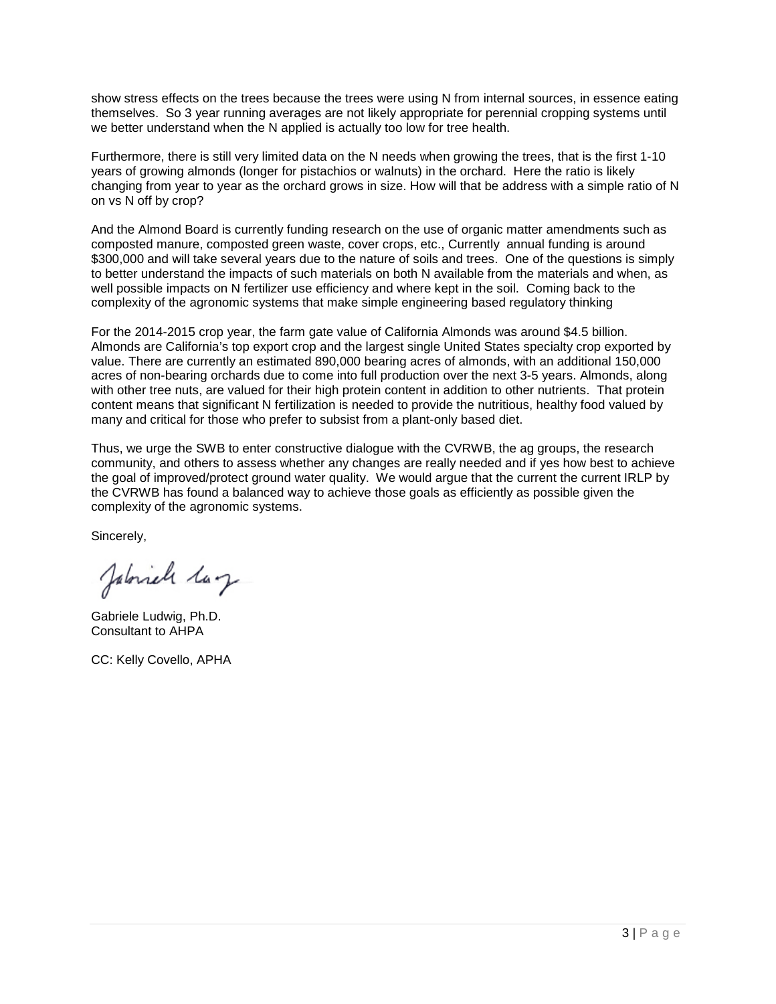show stress effects on the trees because the trees were using N from internal sources, in essence eating themselves. So 3 year running averages are not likely appropriate for perennial cropping systems until we better understand when the N applied is actually too low for tree health.

Furthermore, there is still very limited data on the N needs when growing the trees, that is the first 1-10 years of growing almonds (longer for pistachios or walnuts) in the orchard. Here the ratio is likely changing from year to year as the orchard grows in size. How will that be address with a simple ratio of N on vs N off by crop?

And the Almond Board is currently funding research on the use of organic matter amendments such as composted manure, composted green waste, cover crops, etc., Currently annual funding is around \$300,000 and will take several years due to the nature of soils and trees. One of the questions is simply to better understand the impacts of such materials on both N available from the materials and when, as well possible impacts on N fertilizer use efficiency and where kept in the soil. Coming back to the complexity of the agronomic systems that make simple engineering based regulatory thinking

For the 2014-2015 crop year, the farm gate value of California Almonds was around \$4.5 billion. Almonds are California's top export crop and the largest single United States specialty crop exported by value. There are currently an estimated 890,000 bearing acres of almonds, with an additional 150,000 acres of non-bearing orchards due to come into full production over the next 3-5 years. Almonds, along with other tree nuts, are valued for their high protein content in addition to other nutrients. That protein content means that significant N fertilization is needed to provide the nutritious, healthy food valued by many and critical for those who prefer to subsist from a plant-only based diet.

Thus, we urge the SWB to enter constructive dialogue with the CVRWB, the ag groups, the research community, and others to assess whether any changes are really needed and if yes how best to achieve the goal of improved/protect ground water quality. We would argue that the current the current IRLP by the CVRWB has found a balanced way to achieve those goals as efficiently as possible given the complexity of the agronomic systems.

Sincerely,

Jabriel laz

Gabriele Ludwig, Ph.D. Consultant to AHPA

CC: Kelly Covello, APHA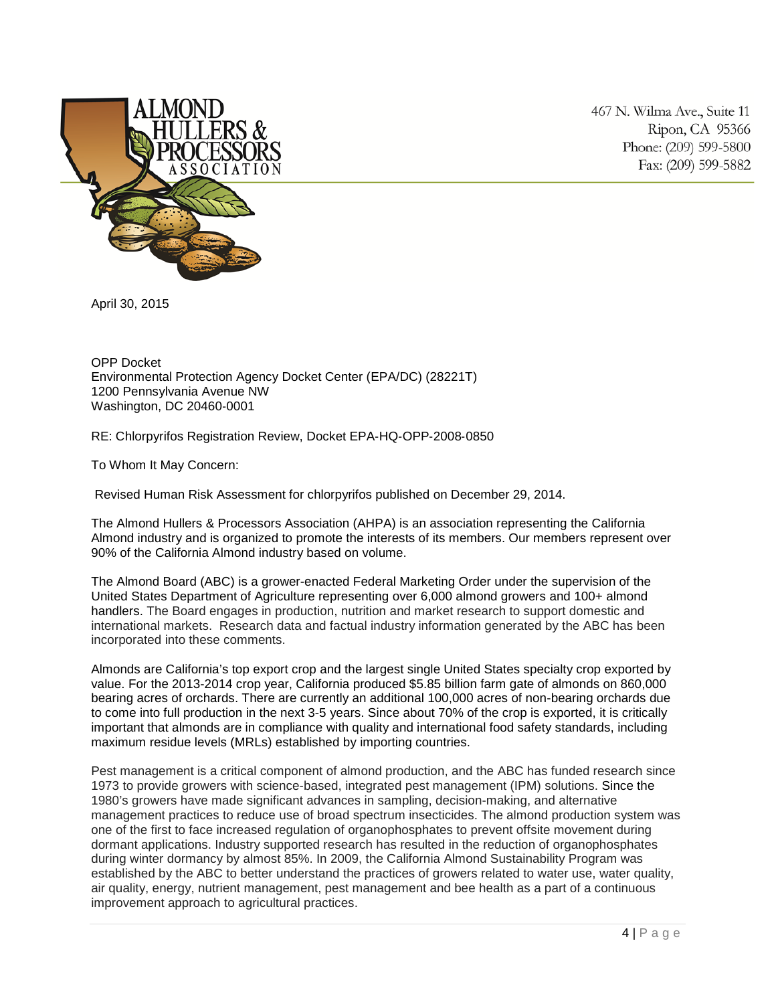

467 N. Wilma Ave., Suite 11 Ripon, CA 95366 Phone: (209) 599-5800 Fax: (209) 599-5882

April 30, 2015

OPP Docket Environmental Protection Agency Docket Center (EPA/DC) (28221T) 1200 Pennsylvania Avenue NW Washington, DC 20460‐0001

RE: Chlorpyrifos Registration Review, Docket EPA‐HQ‐OPP‐2008‐0850

To Whom It May Concern:

Revised Human Risk Assessment for chlorpyrifos published on December 29, 2014.

The Almond Hullers & Processors Association (AHPA) is an association representing the California Almond industry and is organized to promote the interests of its members. Our members represent over 90% of the California Almond industry based on volume.

The Almond Board (ABC) is a grower-enacted Federal Marketing Order under the supervision of the United States Department of Agriculture representing over 6,000 almond growers and 100+ almond handlers. The Board engages in production, nutrition and market research to support domestic and international markets. Research data and factual industry information generated by the ABC has been incorporated into these comments.

Almonds are California's top export crop and the largest single United States specialty crop exported by value. For the 2013-2014 crop year, California produced \$5.85 billion farm gate of almonds on 860,000 bearing acres of orchards. There are currently an additional 100,000 acres of non-bearing orchards due to come into full production in the next 3-5 years. Since about 70% of the crop is exported, it is critically important that almonds are in compliance with quality and international food safety standards, including maximum residue levels (MRLs) established by importing countries.

Pest management is a critical component of almond production, and the ABC has funded research since 1973 to provide growers with science-based, integrated pest management (IPM) solutions. Since the 1980's growers have made significant advances in sampling, decision-making, and alternative management practices to reduce use of broad spectrum insecticides. The almond production system was one of the first to face increased regulation of organophosphates to prevent offsite movement during dormant applications. Industry supported research has resulted in the reduction of organophosphates during winter dormancy by almost 85%. In 2009, the California Almond Sustainability Program was established by the ABC to better understand the practices of growers related to water use, water quality, air quality, energy, nutrient management, pest management and bee health as a part of a continuous improvement approach to agricultural practices.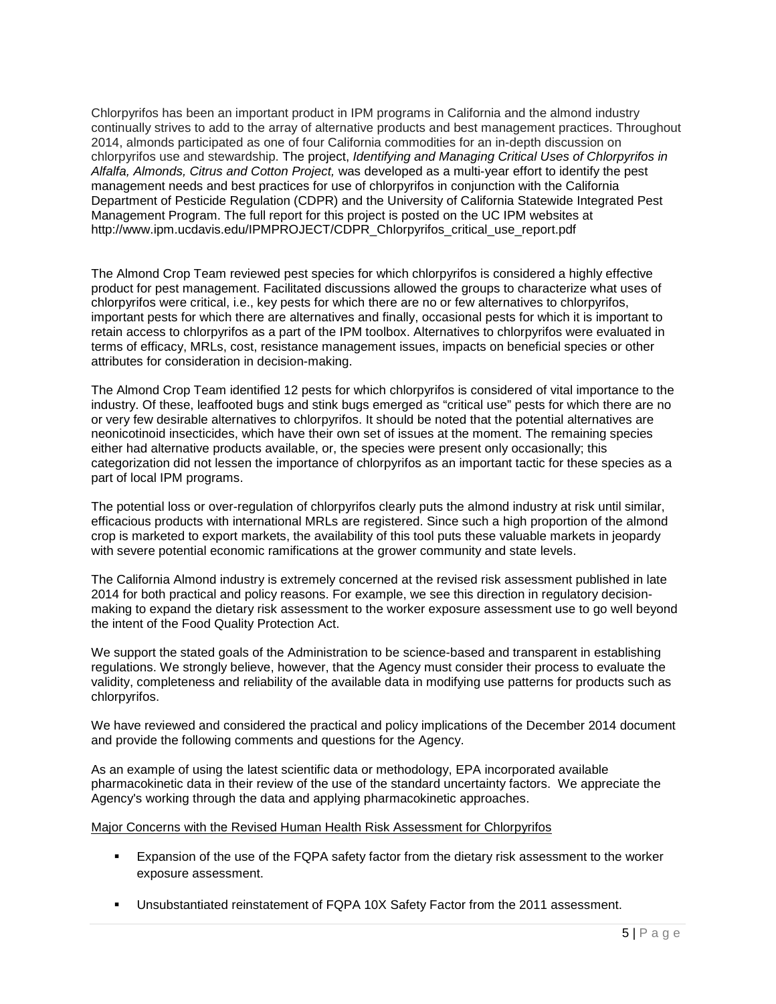Chlorpyrifos has been an important product in IPM programs in California and the almond industry continually strives to add to the array of alternative products and best management practices. Throughout 2014, almonds participated as one of four California commodities for an in-depth discussion on chlorpyrifos use and stewardship. The project, *Identifying and Managing Critical Uses of Chlorpyrifos in Alfalfa, Almonds, Citrus and Cotton Project,* was developed as a multi-year effort to identify the pest management needs and best practices for use of chlorpyrifos in conjunction with the California Department of Pesticide Regulation (CDPR) and the University of California Statewide Integrated Pest Management Program. The full report for this project is posted on the UC IPM websites at [http://www.ipm.ucdavis.edu/IPMPROJECT/CDPR\\_Chlorpyrifos\\_critical\\_use\\_report.pdf](http://www.ipm.ucdavis.edu/IPMPROJECT/CDPR_Chlorpyrifos_critical_use_report.pdf)

The Almond Crop Team reviewed pest species for which chlorpyrifos is considered a highly effective product for pest management. Facilitated discussions allowed the groups to characterize what uses of chlorpyrifos were critical, i.e., key pests for which there are no or few alternatives to chlorpyrifos, important pests for which there are alternatives and finally, occasional pests for which it is important to retain access to chlorpyrifos as a part of the IPM toolbox. Alternatives to chlorpyrifos were evaluated in terms of efficacy, MRLs, cost, resistance management issues, impacts on beneficial species or other attributes for consideration in decision-making.

The Almond Crop Team identified 12 pests for which chlorpyrifos is considered of vital importance to the industry. Of these, leaffooted bugs and stink bugs emerged as "critical use" pests for which there are no or very few desirable alternatives to chlorpyrifos. It should be noted that the potential alternatives are neonicotinoid insecticides, which have their own set of issues at the moment. The remaining species either had alternative products available, or, the species were present only occasionally; this categorization did not lessen the importance of chlorpyrifos as an important tactic for these species as a part of local IPM programs.

The potential loss or over-regulation of chlorpyrifos clearly puts the almond industry at risk until similar, efficacious products with international MRLs are registered. Since such a high proportion of the almond crop is marketed to export markets, the availability of this tool puts these valuable markets in jeopardy with severe potential economic ramifications at the grower community and state levels.

The California Almond industry is extremely concerned at the revised risk assessment published in late 2014 for both practical and policy reasons. For example, we see this direction in regulatory decisionmaking to expand the dietary risk assessment to the worker exposure assessment use to go well beyond the intent of the Food Quality Protection Act.

We support the stated goals of the Administration to be science-based and transparent in establishing regulations. We strongly believe, however, that the Agency must consider their process to evaluate the validity, completeness and reliability of the available data in modifying use patterns for products such as chlorpyrifos.

We have reviewed and considered the practical and policy implications of the December 2014 document and provide the following comments and questions for the Agency.

As an example of using the latest scientific data or methodology, EPA incorporated available pharmacokinetic data in their review of the use of the standard uncertainty factors. We appreciate the Agency's working through the data and applying pharmacokinetic approaches.

## Major Concerns with the Revised Human Health Risk Assessment for Chlorpyrifos

- Expansion of the use of the FQPA safety factor from the dietary risk assessment to the worker exposure assessment.
- Unsubstantiated reinstatement of FQPA 10X Safety Factor from the 2011 assessment.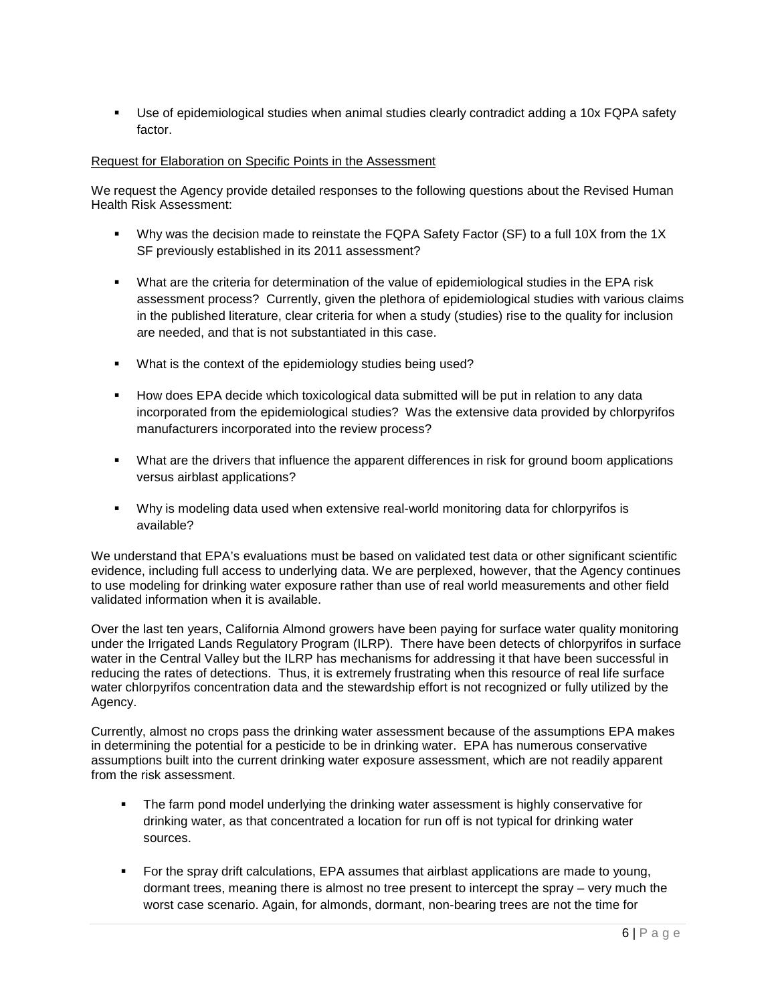Use of epidemiological studies when animal studies clearly contradict adding a 10x FQPA safety factor.

## Request for Elaboration on Specific Points in the Assessment

We request the Agency provide detailed responses to the following questions about the Revised Human Health Risk Assessment:

- Why was the decision made to reinstate the FQPA Safety Factor (SF) to a full 10X from the 1X SF previously established in its 2011 assessment?
- What are the criteria for determination of the value of epidemiological studies in the EPA risk assessment process? Currently, given the plethora of epidemiological studies with various claims in the published literature, clear criteria for when a study (studies) rise to the quality for inclusion are needed, and that is not substantiated in this case.
- What is the context of the epidemiology studies being used?
- How does EPA decide which toxicological data submitted will be put in relation to any data incorporated from the epidemiological studies? Was the extensive data provided by chlorpyrifos manufacturers incorporated into the review process?
- **What are the drivers that influence the apparent differences in risk for ground boom applications** versus airblast applications?
- Why is modeling data used when extensive real-world monitoring data for chlorpyrifos is available?

We understand that EPA's evaluations must be based on validated test data or other significant scientific evidence, including full access to underlying data. We are perplexed, however, that the Agency continues to use modeling for drinking water exposure rather than use of real world measurements and other field validated information when it is available.

Over the last ten years, California Almond growers have been paying for surface water quality monitoring under the Irrigated Lands Regulatory Program (ILRP). There have been detects of chlorpyrifos in surface water in the Central Valley but the ILRP has mechanisms for addressing it that have been successful in reducing the rates of detections. Thus, it is extremely frustrating when this resource of real life surface water chlorpyrifos concentration data and the stewardship effort is not recognized or fully utilized by the Agency.

Currently, almost no crops pass the drinking water assessment because of the assumptions EPA makes in determining the potential for a pesticide to be in drinking water. EPA has numerous conservative assumptions built into the current drinking water exposure assessment, which are not readily apparent from the risk assessment.

- **The farm pond model underlying the drinking water assessment is highly conservative for** drinking water, as that concentrated a location for run off is not typical for drinking water sources.
- For the spray drift calculations, EPA assumes that airblast applications are made to young, dormant trees, meaning there is almost no tree present to intercept the spray – very much the worst case scenario. Again, for almonds, dormant, non-bearing trees are not the time for